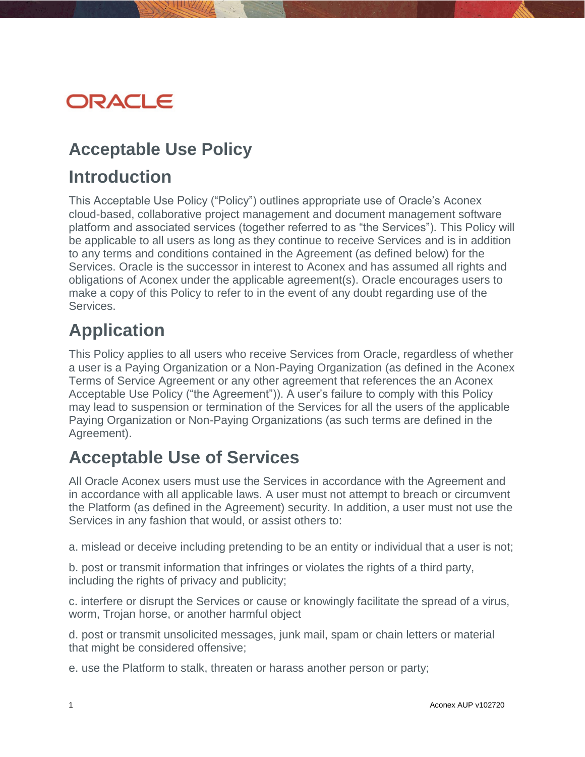# ORACLE

### **Acceptable Use Policy**

#### **Introduction**

This Acceptable Use Policy ("Policy") outlines appropriate use of Oracle's Aconex cloud-based, collaborative project management and document management software platform and associated services (together referred to as "the Services"). This Policy will be applicable to all users as long as they continue to receive Services and is in addition to any terms and conditions contained in the Agreement (as defined below) for the Services. Oracle is the successor in interest to Aconex and has assumed all rights and obligations of Aconex under the applicable agreement(s). Oracle encourages users to make a copy of this Policy to refer to in the event of any doubt regarding use of the Services.

# **Application**

This Policy applies to all users who receive Services from Oracle, regardless of whether a user is a Paying Organization or a Non-Paying Organization (as defined in the Aconex Terms of Service Agreement or any other agreement that references the an Aconex Acceptable Use Policy ("the Agreement")). A user's failure to comply with this Policy may lead to suspension or termination of the Services for all the users of the applicable Paying Organization or Non-Paying Organizations (as such terms are defined in the Agreement).

## **Acceptable Use of Services**

All Oracle Aconex users must use the Services in accordance with the Agreement and in accordance with all applicable laws. A user must not attempt to breach or circumvent the Platform (as defined in the Agreement) security. In addition, a user must not use the Services in any fashion that would, or assist others to:

a. mislead or deceive including pretending to be an entity or individual that a user is not;

b. post or transmit information that infringes or violates the rights of a third party, including the rights of privacy and publicity;

c. interfere or disrupt the Services or cause or knowingly facilitate the spread of a virus, worm, Trojan horse, or another harmful object

d. post or transmit unsolicited messages, junk mail, spam or chain letters or material that might be considered offensive;

e. use the Platform to stalk, threaten or harass another person or party;